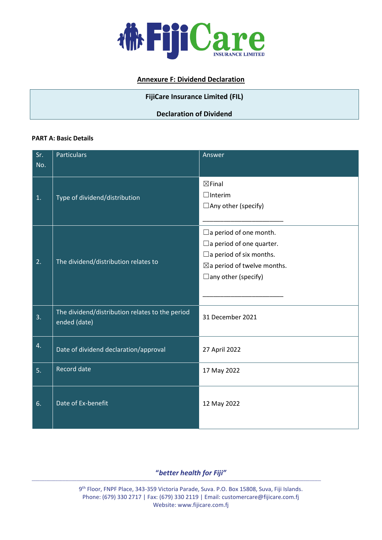

# **Annexure F: Dividend Declaration**

## **FijiCare Insurance Limited (FIL)**

## **Declaration of Dividend**

#### **PART A: Basic Details**

| Sr.<br>No. | <b>Particulars</b>                                              | Answer                                                                                                                                                                        |
|------------|-----------------------------------------------------------------|-------------------------------------------------------------------------------------------------------------------------------------------------------------------------------|
| 1.         | Type of dividend/distribution                                   | $\boxtimes$ Final<br>$\Box$ Interim<br>$\Box$ Any other (specify)                                                                                                             |
| 2.         | The dividend/distribution relates to                            | $\Box$ a period of one month.<br>$\Box$ a period of one quarter.<br>$\Box$ a period of six months.<br>$\boxtimes$ a period of twelve months.<br>$\square$ any other (specify) |
| 3.         | The dividend/distribution relates to the period<br>ended (date) | 31 December 2021                                                                                                                                                              |
| 4.         | Date of dividend declaration/approval                           | 27 April 2022                                                                                                                                                                 |
| 5.         | <b>Record date</b>                                              | 17 May 2022                                                                                                                                                                   |
| 6.         | Date of Ex-benefit                                              | 12 May 2022                                                                                                                                                                   |

**"***better health for Fiji"*

**\_\_\_\_\_\_\_\_\_\_\_\_\_\_\_\_\_\_\_\_\_\_\_\_\_\_\_\_\_\_\_\_\_\_\_\_\_\_\_\_\_\_\_\_\_\_\_\_\_\_\_\_\_\_\_\_\_\_\_\_\_\_\_\_\_\_\_\_\_\_\_\_\_\_\_\_\_\_\_\_\_\_\_\_\_\_\_\_\_\_\_\_\_\_\_\_\_\_\_\_\_\_\_\_\_\_\_\_\_\_\_\_\_\_\_\_\_\_\_\_\_\_\_\_\_\_\_\_\_\_\_\_\_\_\_\_\_\_\_\_\_\_\_\_\_\_\_\_\_\_\_\_\_\_\_\_\_\_\_\_\_\_\_\_\_\_\_\_\_\_\_\_\_\_\_\_\_\_\_\_\_**

9 th Floor, FNPF Place, 343-359 Victoria Parade, Suva. P.O. Box 15808, Suva, Fiji Islands. Phone: (679) 330 2717 | Fax: (679) 330 2119 | Email: customercare@fijicare.com.fj Website: www.fijicare.com.fj